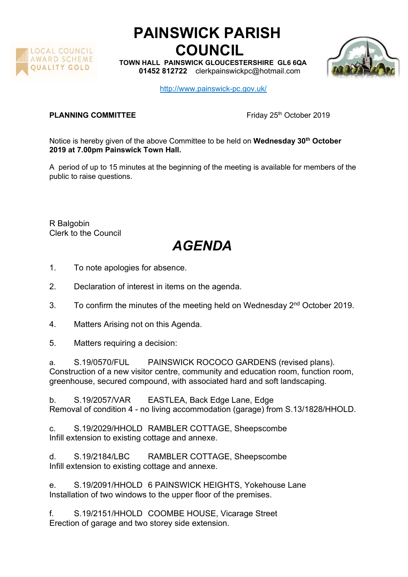

## PAINSWICK PARISH COUNCIL

TOWN HALL PAINSWICK GLOUCESTERSHIRE GL6 6QA 01452 812722 clerkpainswickpc@hotmail.com



http://www.painswick-pc.gov.uk/

## **PLANNING COMMITTEE** Friday 25<sup>th</sup> October 2019

Notice is hereby given of the above Committee to be held on Wednesday 30<sup>th</sup> October 2019 at 7.00pm Painswick Town Hall.

A period of up to 15 minutes at the beginning of the meeting is available for members of the public to raise questions.

R Balgobin Clerk to the Council

## AGENDA

- 1. To note apologies for absence.
- 2. Declaration of interest in items on the agenda.
- 3. To confirm the minutes of the meeting held on Wednesday 2<sup>nd</sup> October 2019.
- 4. Matters Arising not on this Agenda.
- 5. Matters requiring a decision:

a. S.19/0570/FUL PAINSWICK ROCOCO GARDENS (revised plans). Construction of a new visitor centre, community and education room, function room, greenhouse, secured compound, with associated hard and soft landscaping.

b. S.19/2057/VAR EASTLEA, Back Edge Lane, Edge Removal of condition 4 - no living accommodation (garage) from S.13/1828/HHOLD.

c. S.19/2029/HHOLD RAMBLER COTTAGE, Sheepscombe Infill extension to existing cottage and annexe.

d. S.19/2184/LBC RAMBLER COTTAGE, Sheepscombe Infill extension to existing cottage and annexe.

e. S.19/2091/HHOLD 6 PAINSWICK HEIGHTS, Yokehouse Lane Installation of two windows to the upper floor of the premises.

f. S.19/2151/HHOLD COOMBE HOUSE, Vicarage Street Erection of garage and two storey side extension.